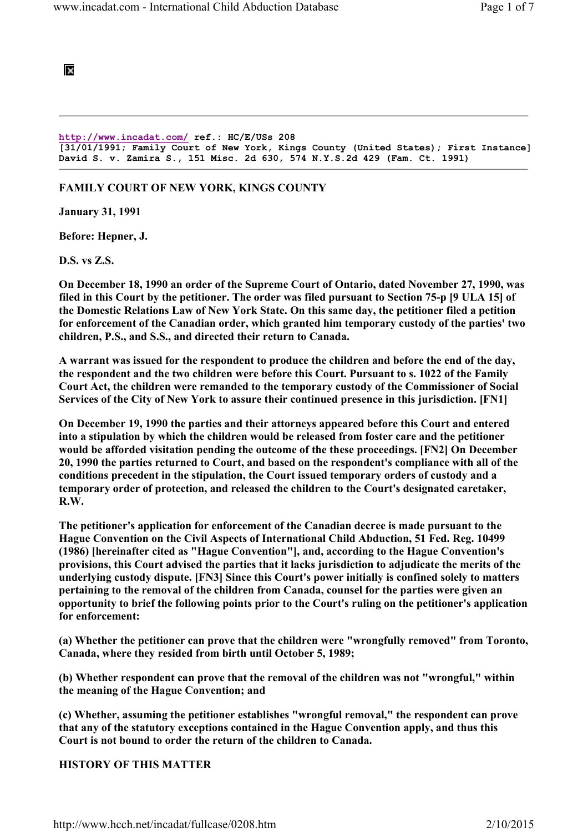

http://www.incadat.com/ ref.: HC/E/USs 208 [31/01/1991; Family Court of New York, Kings County (United States); First Instance] David S. v. Zamira S., 151 Misc. 2d 630, 574 N.Y.S.2d 429 (Fam. Ct. 1991)

## FAMILY COURT OF NEW YORK, KINGS COUNTY

January 31, 1991

Before: Hepner, J.

D.S. vs Z.S.

On December 18, 1990 an order of the Supreme Court of Ontario, dated November 27, 1990, was filed in this Court by the petitioner. The order was filed pursuant to Section 75-p [9 ULA 15] of the Domestic Relations Law of New York State. On this same day, the petitioner filed a petition for enforcement of the Canadian order, which granted him temporary custody of the parties' two children, P.S., and S.S., and directed their return to Canada.

A warrant was issued for the respondent to produce the children and before the end of the day, the respondent and the two children were before this Court. Pursuant to s. 1022 of the Family Court Act, the children were remanded to the temporary custody of the Commissioner of Social Services of the City of New York to assure their continued presence in this jurisdiction. [FN1]

On December 19, 1990 the parties and their attorneys appeared before this Court and entered into a stipulation by which the children would be released from foster care and the petitioner would be afforded visitation pending the outcome of the these proceedings. [FN2] On December 20, 1990 the parties returned to Court, and based on the respondent's compliance with all of the conditions precedent in the stipulation, the Court issued temporary orders of custody and a temporary order of protection, and released the children to the Court's designated caretaker, R.W.

The petitioner's application for enforcement of the Canadian decree is made pursuant to the Hague Convention on the Civil Aspects of International Child Abduction, 51 Fed. Reg. 10499 (1986) [hereinafter cited as "Hague Convention"], and, according to the Hague Convention's provisions, this Court advised the parties that it lacks jurisdiction to adjudicate the merits of the underlying custody dispute. [FN3] Since this Court's power initially is confined solely to matters pertaining to the removal of the children from Canada, counsel for the parties were given an opportunity to brief the following points prior to the Court's ruling on the petitioner's application for enforcement:

(a) Whether the petitioner can prove that the children were "wrongfully removed" from Toronto, Canada, where they resided from birth until October 5, 1989;

(b) Whether respondent can prove that the removal of the children was not "wrongful," within the meaning of the Hague Convention; and

(c) Whether, assuming the petitioner establishes "wrongful removal," the respondent can prove that any of the statutory exceptions contained in the Hague Convention apply, and thus this Court is not bound to order the return of the children to Canada.

## HISTORY OF THIS MATTER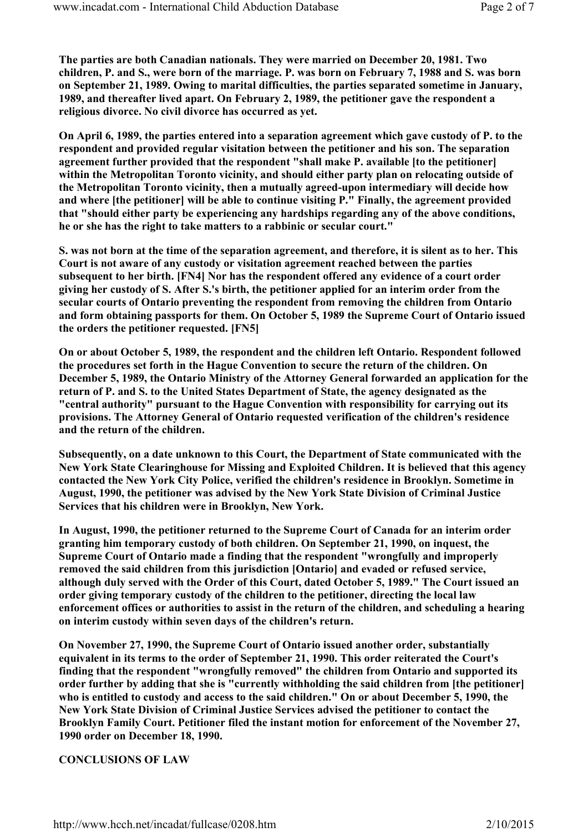The parties are both Canadian nationals. They were married on December 20, 1981. Two children, P. and S., were born of the marriage. P. was born on February 7, 1988 and S. was born on September 21, 1989. Owing to marital difficulties, the parties separated sometime in January, 1989, and thereafter lived apart. On February 2, 1989, the petitioner gave the respondent a religious divorce. No civil divorce has occurred as yet.

On April 6, 1989, the parties entered into a separation agreement which gave custody of P. to the respondent and provided regular visitation between the petitioner and his son. The separation agreement further provided that the respondent "shall make P. available [to the petitioner] within the Metropolitan Toronto vicinity, and should either party plan on relocating outside of the Metropolitan Toronto vicinity, then a mutually agreed-upon intermediary will decide how and where [the petitioner] will be able to continue visiting P." Finally, the agreement provided that "should either party be experiencing any hardships regarding any of the above conditions, he or she has the right to take matters to a rabbinic or secular court."

S. was not born at the time of the separation agreement, and therefore, it is silent as to her. This Court is not aware of any custody or visitation agreement reached between the parties subsequent to her birth. [FN4] Nor has the respondent offered any evidence of a court order giving her custody of S. After S.'s birth, the petitioner applied for an interim order from the secular courts of Ontario preventing the respondent from removing the children from Ontario and form obtaining passports for them. On October 5, 1989 the Supreme Court of Ontario issued the orders the petitioner requested. [FN5]

On or about October 5, 1989, the respondent and the children left Ontario. Respondent followed the procedures set forth in the Hague Convention to secure the return of the children. On December 5, 1989, the Ontario Ministry of the Attorney General forwarded an application for the return of P. and S. to the United States Department of State, the agency designated as the "central authority" pursuant to the Hague Convention with responsibility for carrying out its provisions. The Attorney General of Ontario requested verification of the children's residence and the return of the children.

Subsequently, on a date unknown to this Court, the Department of State communicated with the New York State Clearinghouse for Missing and Exploited Children. It is believed that this agency contacted the New York City Police, verified the children's residence in Brooklyn. Sometime in August, 1990, the petitioner was advised by the New York State Division of Criminal Justice Services that his children were in Brooklyn, New York.

In August, 1990, the petitioner returned to the Supreme Court of Canada for an interim order granting him temporary custody of both children. On September 21, 1990, on inquest, the Supreme Court of Ontario made a finding that the respondent "wrongfully and improperly removed the said children from this jurisdiction [Ontario] and evaded or refused service, although duly served with the Order of this Court, dated October 5, 1989." The Court issued an order giving temporary custody of the children to the petitioner, directing the local law enforcement offices or authorities to assist in the return of the children, and scheduling a hearing on interim custody within seven days of the children's return.

On November 27, 1990, the Supreme Court of Ontario issued another order, substantially equivalent in its terms to the order of September 21, 1990. This order reiterated the Court's finding that the respondent "wrongfully removed" the children from Ontario and supported its order further by adding that she is "currently withholding the said children from [the petitioner] who is entitled to custody and access to the said children." On or about December 5, 1990, the New York State Division of Criminal Justice Services advised the petitioner to contact the Brooklyn Family Court. Petitioner filed the instant motion for enforcement of the November 27, 1990 order on December 18, 1990.

## CONCLUSIONS OF LAW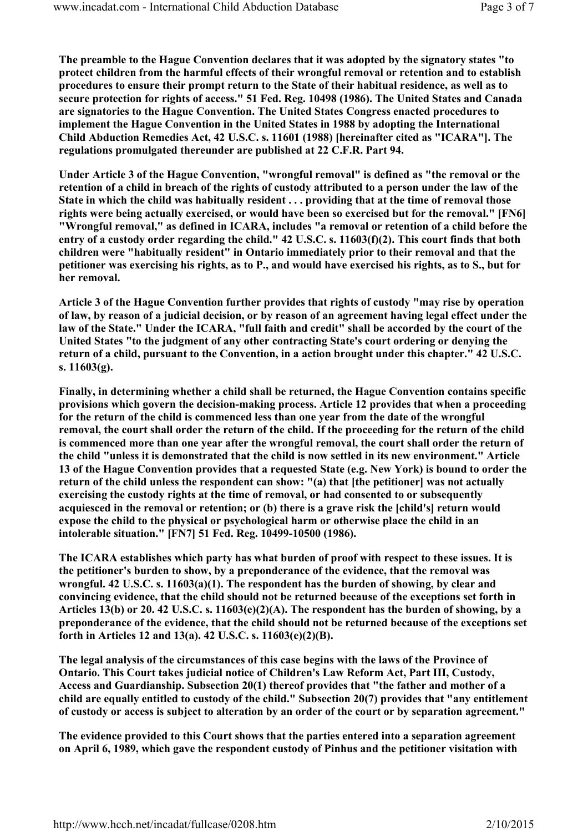The preamble to the Hague Convention declares that it was adopted by the signatory states "to protect children from the harmful effects of their wrongful removal or retention and to establish procedures to ensure their prompt return to the State of their habitual residence, as well as to secure protection for rights of access." 51 Fed. Reg. 10498 (1986). The United States and Canada are signatories to the Hague Convention. The United States Congress enacted procedures to implement the Hague Convention in the United States in 1988 by adopting the International Child Abduction Remedies Act, 42 U.S.C. s. 11601 (1988) [hereinafter cited as "ICARA"]. The regulations promulgated thereunder are published at 22 C.F.R. Part 94.

Under Article 3 of the Hague Convention, "wrongful removal" is defined as "the removal or the retention of a child in breach of the rights of custody attributed to a person under the law of the State in which the child was habitually resident . . . providing that at the time of removal those rights were being actually exercised, or would have been so exercised but for the removal." [FN6] "Wrongful removal," as defined in ICARA, includes "a removal or retention of a child before the entry of a custody order regarding the child." 42 U.S.C. s. 11603(f)(2). This court finds that both children were "habitually resident" in Ontario immediately prior to their removal and that the petitioner was exercising his rights, as to P., and would have exercised his rights, as to S., but for her removal.

Article 3 of the Hague Convention further provides that rights of custody "may rise by operation of law, by reason of a judicial decision, or by reason of an agreement having legal effect under the law of the State." Under the ICARA, "full faith and credit" shall be accorded by the court of the United States "to the judgment of any other contracting State's court ordering or denying the return of a child, pursuant to the Convention, in a action brought under this chapter." 42 U.S.C. s. 11603(g).

Finally, in determining whether a child shall be returned, the Hague Convention contains specific provisions which govern the decision-making process. Article 12 provides that when a proceeding for the return of the child is commenced less than one year from the date of the wrongful removal, the court shall order the return of the child. If the proceeding for the return of the child is commenced more than one year after the wrongful removal, the court shall order the return of the child "unless it is demonstrated that the child is now settled in its new environment." Article 13 of the Hague Convention provides that a requested State (e.g. New York) is bound to order the return of the child unless the respondent can show: "(a) that [the petitioner] was not actually exercising the custody rights at the time of removal, or had consented to or subsequently acquiesced in the removal or retention; or (b) there is a grave risk the [child's] return would expose the child to the physical or psychological harm or otherwise place the child in an intolerable situation." [FN7] 51 Fed. Reg. 10499-10500 (1986).

The ICARA establishes which party has what burden of proof with respect to these issues. It is the petitioner's burden to show, by a preponderance of the evidence, that the removal was wrongful. 42 U.S.C. s. 11603(a)(1). The respondent has the burden of showing, by clear and convincing evidence, that the child should not be returned because of the exceptions set forth in Articles 13(b) or 20. 42 U.S.C. s. 11603(e)(2)(A). The respondent has the burden of showing, by a preponderance of the evidence, that the child should not be returned because of the exceptions set forth in Articles 12 and 13(a). 42 U.S.C. s. 11603(e)(2)(B).

The legal analysis of the circumstances of this case begins with the laws of the Province of Ontario. This Court takes judicial notice of Children's Law Reform Act, Part III, Custody, Access and Guardianship. Subsection 20(1) thereof provides that "the father and mother of a child are equally entitled to custody of the child." Subsection 20(7) provides that "any entitlement of custody or access is subject to alteration by an order of the court or by separation agreement."

The evidence provided to this Court shows that the parties entered into a separation agreement on April 6, 1989, which gave the respondent custody of Pinhus and the petitioner visitation with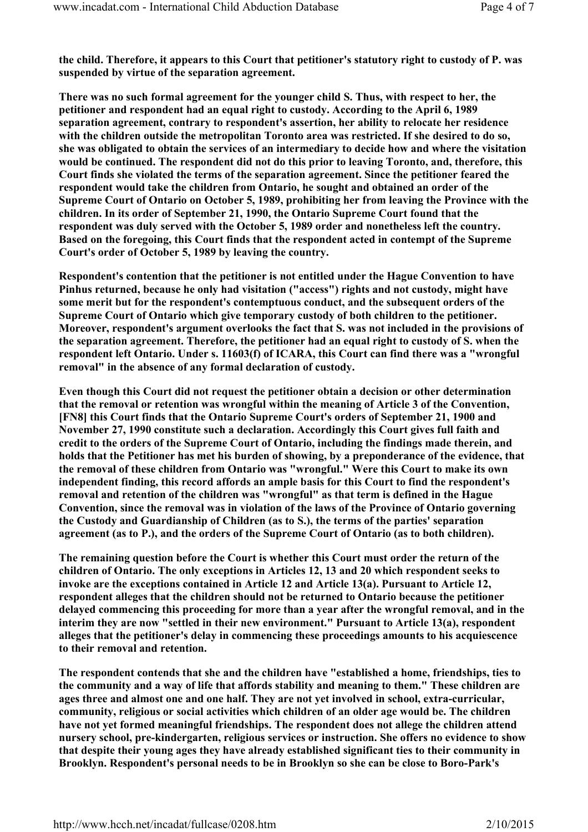the child. Therefore, it appears to this Court that petitioner's statutory right to custody of P. was suspended by virtue of the separation agreement.

There was no such formal agreement for the younger child S. Thus, with respect to her, the petitioner and respondent had an equal right to custody. According to the April 6, 1989 separation agreement, contrary to respondent's assertion, her ability to relocate her residence with the children outside the metropolitan Toronto area was restricted. If she desired to do so, she was obligated to obtain the services of an intermediary to decide how and where the visitation would be continued. The respondent did not do this prior to leaving Toronto, and, therefore, this Court finds she violated the terms of the separation agreement. Since the petitioner feared the respondent would take the children from Ontario, he sought and obtained an order of the Supreme Court of Ontario on October 5, 1989, prohibiting her from leaving the Province with the children. In its order of September 21, 1990, the Ontario Supreme Court found that the respondent was duly served with the October 5, 1989 order and nonetheless left the country. Based on the foregoing, this Court finds that the respondent acted in contempt of the Supreme Court's order of October 5, 1989 by leaving the country.

Respondent's contention that the petitioner is not entitled under the Hague Convention to have Pinhus returned, because he only had visitation ("access") rights and not custody, might have some merit but for the respondent's contemptuous conduct, and the subsequent orders of the Supreme Court of Ontario which give temporary custody of both children to the petitioner. Moreover, respondent's argument overlooks the fact that S. was not included in the provisions of the separation agreement. Therefore, the petitioner had an equal right to custody of S. when the respondent left Ontario. Under s. 11603(f) of ICARA, this Court can find there was a "wrongful removal" in the absence of any formal declaration of custody.

Even though this Court did not request the petitioner obtain a decision or other determination that the removal or retention was wrongful within the meaning of Article 3 of the Convention, [FN8] this Court finds that the Ontario Supreme Court's orders of September 21, 1900 and November 27, 1990 constitute such a declaration. Accordingly this Court gives full faith and credit to the orders of the Supreme Court of Ontario, including the findings made therein, and holds that the Petitioner has met his burden of showing, by a preponderance of the evidence, that the removal of these children from Ontario was "wrongful." Were this Court to make its own independent finding, this record affords an ample basis for this Court to find the respondent's removal and retention of the children was "wrongful" as that term is defined in the Hague Convention, since the removal was in violation of the laws of the Province of Ontario governing the Custody and Guardianship of Children (as to S.), the terms of the parties' separation agreement (as to P.), and the orders of the Supreme Court of Ontario (as to both children).

The remaining question before the Court is whether this Court must order the return of the children of Ontario. The only exceptions in Articles 12, 13 and 20 which respondent seeks to invoke are the exceptions contained in Article 12 and Article 13(a). Pursuant to Article 12, respondent alleges that the children should not be returned to Ontario because the petitioner delayed commencing this proceeding for more than a year after the wrongful removal, and in the interim they are now "settled in their new environment." Pursuant to Article 13(a), respondent alleges that the petitioner's delay in commencing these proceedings amounts to his acquiescence to their removal and retention.

The respondent contends that she and the children have "established a home, friendships, ties to the community and a way of life that affords stability and meaning to them." These children are ages three and almost one and one half. They are not yet involved in school, extra-curricular, community, religious or social activities which children of an older age would be. The children have not yet formed meaningful friendships. The respondent does not allege the children attend nursery school, pre-kindergarten, religious services or instruction. She offers no evidence to show that despite their young ages they have already established significant ties to their community in Brooklyn. Respondent's personal needs to be in Brooklyn so she can be close to Boro-Park's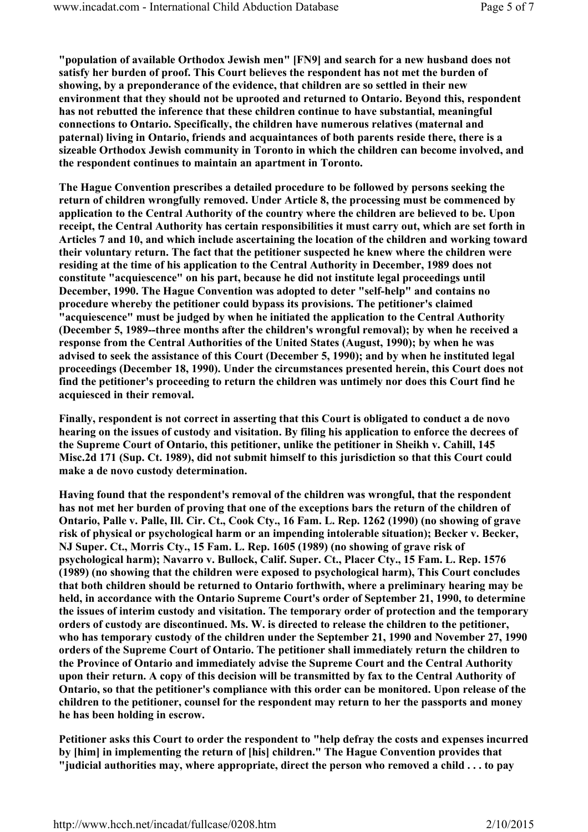"population of available Orthodox Jewish men" [FN9] and search for a new husband does not satisfy her burden of proof. This Court believes the respondent has not met the burden of showing, by a preponderance of the evidence, that children are so settled in their new environment that they should not be uprooted and returned to Ontario. Beyond this, respondent has not rebutted the inference that these children continue to have substantial, meaningful connections to Ontario. Specifically, the children have numerous relatives (maternal and paternal) living in Ontario, friends and acquaintances of both parents reside there, there is a sizeable Orthodox Jewish community in Toronto in which the children can become involved, and the respondent continues to maintain an apartment in Toronto.

The Hague Convention prescribes a detailed procedure to be followed by persons seeking the return of children wrongfully removed. Under Article 8, the processing must be commenced by application to the Central Authority of the country where the children are believed to be. Upon receipt, the Central Authority has certain responsibilities it must carry out, which are set forth in Articles 7 and 10, and which include ascertaining the location of the children and working toward their voluntary return. The fact that the petitioner suspected he knew where the children were residing at the time of his application to the Central Authority in December, 1989 does not constitute "acquiescence" on his part, because he did not institute legal proceedings until December, 1990. The Hague Convention was adopted to deter "self-help" and contains no procedure whereby the petitioner could bypass its provisions. The petitioner's claimed "acquiescence" must be judged by when he initiated the application to the Central Authority (December 5, 1989--three months after the children's wrongful removal); by when he received a response from the Central Authorities of the United States (August, 1990); by when he was advised to seek the assistance of this Court (December 5, 1990); and by when he instituted legal proceedings (December 18, 1990). Under the circumstances presented herein, this Court does not find the petitioner's proceeding to return the children was untimely nor does this Court find he acquiesced in their removal.

Finally, respondent is not correct in asserting that this Court is obligated to conduct a de novo hearing on the issues of custody and visitation. By filing his application to enforce the decrees of the Supreme Court of Ontario, this petitioner, unlike the petitioner in Sheikh v. Cahill, 145 Misc.2d 171 (Sup. Ct. 1989), did not submit himself to this jurisdiction so that this Court could make a de novo custody determination.

Having found that the respondent's removal of the children was wrongful, that the respondent has not met her burden of proving that one of the exceptions bars the return of the children of Ontario, Palle v. Palle, Ill. Cir. Ct., Cook Cty., 16 Fam. L. Rep. 1262 (1990) (no showing of grave risk of physical or psychological harm or an impending intolerable situation); Becker v. Becker, NJ Super. Ct., Morris Cty., 15 Fam. L. Rep. 1605 (1989) (no showing of grave risk of psychological harm); Navarro v. Bullock, Calif. Super. Ct., Placer Cty., 15 Fam. L. Rep. 1576 (1989) (no showing that the children were exposed to psychological harm), This Court concludes that both children should be returned to Ontario forthwith, where a preliminary hearing may be held, in accordance with the Ontario Supreme Court's order of September 21, 1990, to determine the issues of interim custody and visitation. The temporary order of protection and the temporary orders of custody are discontinued. Ms. W. is directed to release the children to the petitioner, who has temporary custody of the children under the September 21, 1990 and November 27, 1990 orders of the Supreme Court of Ontario. The petitioner shall immediately return the children to the Province of Ontario and immediately advise the Supreme Court and the Central Authority upon their return. A copy of this decision will be transmitted by fax to the Central Authority of Ontario, so that the petitioner's compliance with this order can be monitored. Upon release of the children to the petitioner, counsel for the respondent may return to her the passports and money he has been holding in escrow.

Petitioner asks this Court to order the respondent to "help defray the costs and expenses incurred by [him] in implementing the return of [his] children." The Hague Convention provides that "judicial authorities may, where appropriate, direct the person who removed a child . . . to pay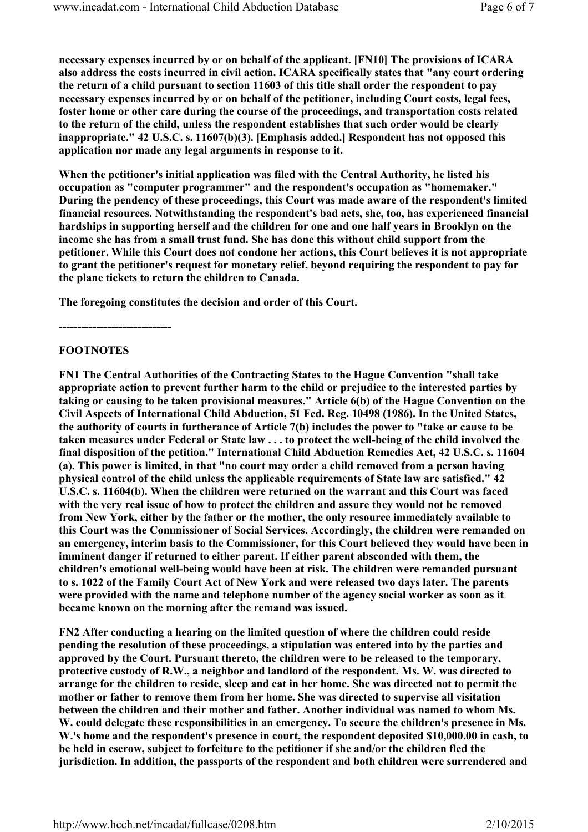necessary expenses incurred by or on behalf of the applicant. [FN10] The provisions of ICARA also address the costs incurred in civil action. ICARA specifically states that "any court ordering the return of a child pursuant to section 11603 of this title shall order the respondent to pay necessary expenses incurred by or on behalf of the petitioner, including Court costs, legal fees, foster home or other care during the course of the proceedings, and transportation costs related to the return of the child, unless the respondent establishes that such order would be clearly inappropriate." 42 U.S.C. s. 11607(b)(3). [Emphasis added.] Respondent has not opposed this application nor made any legal arguments in response to it.

When the petitioner's initial application was filed with the Central Authority, he listed his occupation as "computer programmer" and the respondent's occupation as "homemaker." During the pendency of these proceedings, this Court was made aware of the respondent's limited financial resources. Notwithstanding the respondent's bad acts, she, too, has experienced financial hardships in supporting herself and the children for one and one half years in Brooklyn on the income she has from a small trust fund. She has done this without child support from the petitioner. While this Court does not condone her actions, this Court believes it is not appropriate to grant the petitioner's request for monetary relief, beyond requiring the respondent to pay for the plane tickets to return the children to Canada.

The foregoing constitutes the decision and order of this Court.

------------------------------

## **FOOTNOTES**

FN1 The Central Authorities of the Contracting States to the Hague Convention "shall take appropriate action to prevent further harm to the child or prejudice to the interested parties by taking or causing to be taken provisional measures." Article 6(b) of the Hague Convention on the Civil Aspects of International Child Abduction, 51 Fed. Reg. 10498 (1986). In the United States, the authority of courts in furtherance of Article 7(b) includes the power to "take or cause to be taken measures under Federal or State law . . . to protect the well-being of the child involved the final disposition of the petition." International Child Abduction Remedies Act, 42 U.S.C. s. 11604 (a). This power is limited, in that "no court may order a child removed from a person having physical control of the child unless the applicable requirements of State law are satisfied." 42 U.S.C. s. 11604(b). When the children were returned on the warrant and this Court was faced with the very real issue of how to protect the children and assure they would not be removed from New York, either by the father or the mother, the only resource immediately available to this Court was the Commissioner of Social Services. Accordingly, the children were remanded on an emergency, interim basis to the Commissioner, for this Court believed they would have been in imminent danger if returned to either parent. If either parent absconded with them, the children's emotional well-being would have been at risk. The children were remanded pursuant to s. 1022 of the Family Court Act of New York and were released two days later. The parents were provided with the name and telephone number of the agency social worker as soon as it became known on the morning after the remand was issued.

FN2 After conducting a hearing on the limited question of where the children could reside pending the resolution of these proceedings, a stipulation was entered into by the parties and approved by the Court. Pursuant thereto, the children were to be released to the temporary, protective custody of R.W., a neighbor and landlord of the respondent. Ms. W. was directed to arrange for the children to reside, sleep and eat in her home. She was directed not to permit the mother or father to remove them from her home. She was directed to supervise all visitation between the children and their mother and father. Another individual was named to whom Ms. W. could delegate these responsibilities in an emergency. To secure the children's presence in Ms. W.'s home and the respondent's presence in court, the respondent deposited \$10,000.00 in cash, to be held in escrow, subject to forfeiture to the petitioner if she and/or the children fled the jurisdiction. In addition, the passports of the respondent and both children were surrendered and